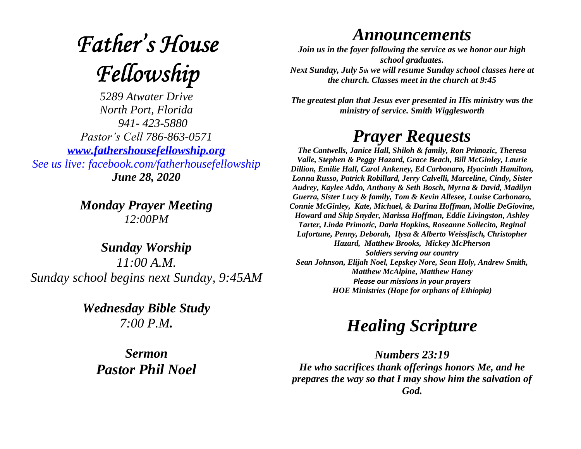# **Father's House** Fellowship

*5289 Atwater Drive North Port, Florida 941- 423-5880 Pastor's Cell 786-863-0571 [www.fathershousefellowship.org](http://www.fathershousefellowship.org/) See us live: facebook.com/fatherhousefellowship June 28, 2020*

> *Monday Prayer Meeting 12:00PM*

*Sunday Worship 11:00 A.M. Sunday school begins next Sunday, 9:45AM*

> *Wednesday Bible Study 7:00 P.M.*

*Sermon Pastor Phil Noel*

### *Announcements*

*Join us in the foyer following the service as we honor our high school graduates. Next Sunday, July 5th we will resume Sunday school classes here at the church. Classes meet in the church at 9:45*

*The greatest plan that Jesus ever presented in His ministry was the ministry of service. Smith Wigglesworth*

### *Prayer Requests*

*The Cantwells, Janice Hall, Shiloh & family, Ron Primozic, Theresa Valle, Stephen & Peggy Hazard, Grace Beach, Bill McGinley, Laurie Dillion, Emilie Hall, Carol Ankeney, Ed Carbonaro, Hyacinth Hamilton, Lonna Russo, Patrick Robillard, Jerry Calvelli, Marceline, Cindy, Sister Audrey, Kaylee Addo, Anthony & Seth Bosch, Myrna & David, Madilyn Guerra, Sister Lucy & family, Tom & Kevin Allesee, Louise Carbonaro, Connie McGinley, Kate, Michael, & Darina Hoffman, Mollie DeGiovine, Howard and Skip Snyder, Marissa Hoffman, Eddie Livingston, Ashley Tarter, Linda Primozic, Darla Hopkins, Roseanne Sollecito, Reginal Lafortune, Penny, Deborah, Ilysa & Alberto Weissfisch, Christopher Hazard, Matthew Brooks, Mickey McPherson Soldiers serving our country Sean Johnson, Elijah Noel, Lepskey Nore, Sean Holy, Andrew Smith, Matthew McAlpine, Matthew Haney Please our missions in your prayers HOE Ministries (Hope for orphans of Ethiopia)*

## *Healing Scripture*

*Numbers 23:19 He who sacrifices thank offerings honors Me, and he prepares the way so that I may show him the salvation of God.*